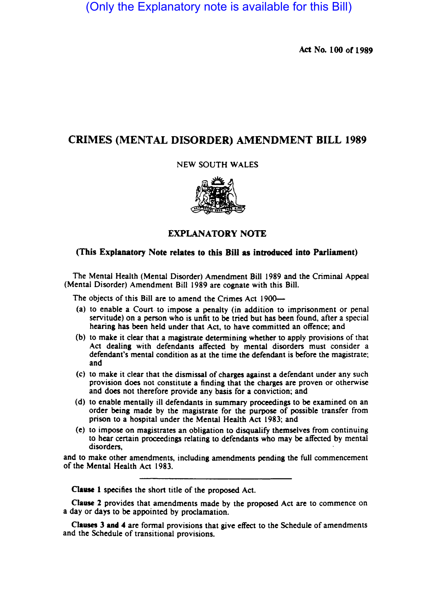(Only the Explanatory note is available for this Bill)

Act No. 100 or 1989

# CRIMES (MENTAL DISORDER) AMENDMENT BILL 1989

NEW SOUTH WALES



# (This Explanatory Note relates to this Bill as introduced into Parliament)

The Mental Health (Mental Disorder) Amendment Bill 1989 and the Criminal Appeal (Mental Disorder) Amendment Bill 1989 are cognate with this Bill.

The objects of this Bill are to amend the Crimes Act 1900-

- (a) to enable a Court- to impose a penalty (in addition to imprisonment or penal servitude) on a person who is unfit to be tried but has been found, after a special hearing has been held under that Act, to have committed an offence; and
- (b) to make it clear that a magistrate detennining whether to apply provisions of that Act dealing with defendants affected by mental disorders must consider a defendant's mental condition as at the time the defendant is before the magistrate; and
- (c) to make it clear that the dismissal of charges against a defendant under any such provision does not constitute a finding that the charges are proven or otherwise and does not therefore provide any basis for a conviction; and
- (d) to enable mentally ill defendants in summary proceedings to be examined on an order being made by the magistrate for the purpose of possible transfer from prison to a hospital under the Mental Health Act 1983; and
- (e) to impose on magistrates an obligation to disqualify themselves from continuing to hear certain proceedings relating to defendants who may be affected by mental disorders,

and to make other amendments, including amendments pending the full commencement of the Mental Health Act 1983.

CIause 1 specifies the short title of the proposed Act.

Clause 2 provides that amendments made by the proposed Act are to commence on a day or days to be appointed by proclamation.

Clauses J and 4 are fonnal provisions that give effect to the Schedule of amendments and the Schedule of transitional provisions.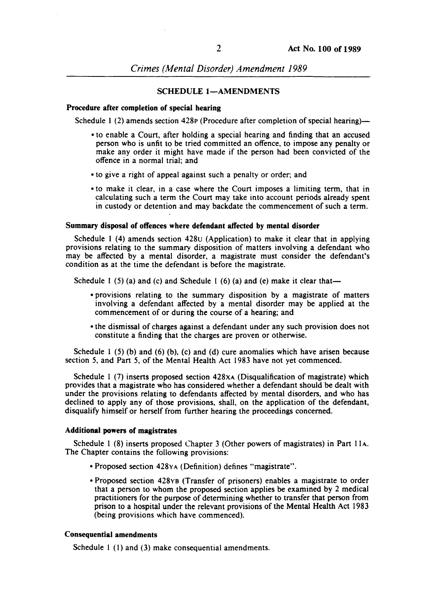*Crimes (Mental Disorder) Amendment 1989* 

## SCHEDULE 1-AMENDMENTS

### Procedure after completion of special hearing

Schedule 1 (2) amends section  $428p$  (Procedure after completion of special hearing)-

- to enable a Court, after holding a special hearing and finding that an accused person who is unfit to be tried committed an offence, to impose any penalty or make any order it might have made if the person had been convicted of the offence in a normal trial; and
- to give a right of appeal against such a penalty or order; and
- to make it clear, in a case where the Court imposes a limiting term, that in calculating such a term the Court may take into account periods already spent in custody or detention and may backdate the commencement of such a term.

## Summary disposal of offences where defendant affected by mental disorder

Schedule I (4) amends section 428u (Application) to make it clear that in applying provisions relating to the summary disposition of matters involving a defendant who may be affected by a mental disorder, a magistrate must consider the defendant's condition as at the time the defendant is before the magistrate.

Schedule 1 (5) (a) and (c) and Schedule 1 (6) (a) and (e) make it clear that-

- provisions relating to the summary disposition by a magistrate of matters involving a defendant affected by a mental disorder may be applied at the commencement of or during the course of a hearing; and
- the dismissal of charges against a defendant under any such provision does not constitute a finding that the charges are proven or otherwise.

Schedule 1 (5) (b) and (6) (b), (c) and (d) cure anomalies which have arisen because section 5, and Part 5, of the Mental Health Act 1983 have not yet commenced.

Schedule I (7) inserts proposed section 428xA (Disqualification of magistrate) which provides that a magistrate who has considered whether a defendant should be dealt with under the provisions relating to defendants affected by mental disorders, and who has declined to apply any of those provisions, shall, on the application of the defendant, disqualify himself or herself from further hearing the proceedings concerned.

# Additional powers of magistrates

Schedule I (8) inserts proposed Chapter 3 (Other powers of magistrates) in Part IIA. The Chapter contains the following provisions:

- Proposed section 428YA (Definition) defines "magistrate" .
- Proposed section 428YB (Transfer of prisoners) enables a magistrate to order that a person to whom the proposed section applies be examined by 2 medical practitioners for the purpose of determining whether to transfer that person from prison to a hospital under the relevant provisions of the Mental Health Act 1983 (being provisions which have commenced).

# Consequential amendments

Schedule 1 (1) and (3) make consequential amendments.